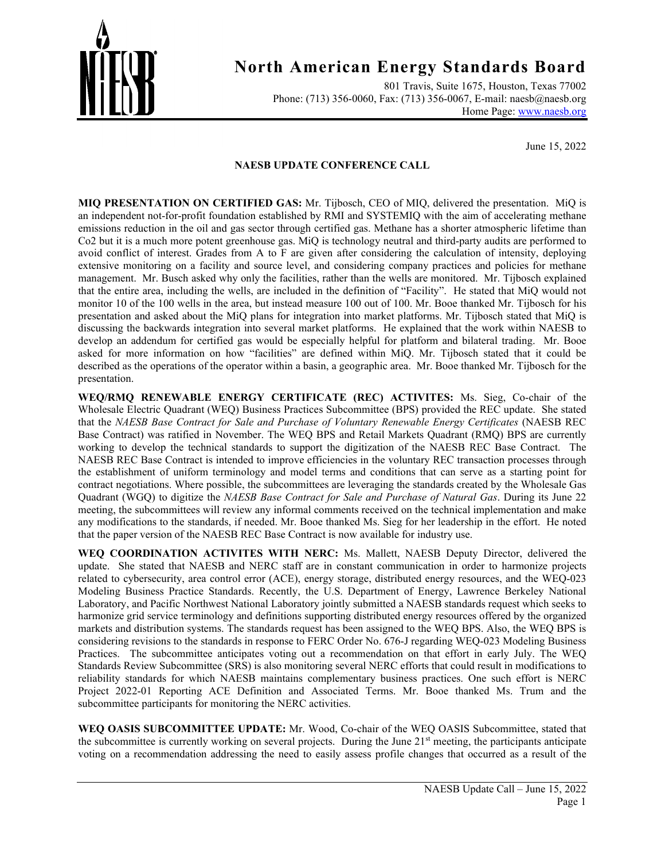

801 Travis, Suite 1675, Houston, Texas 77002 Phone: (713) 356-0060, Fax: (713) 356-0067, E-mail: naesb@naesb.org Home Page: [www.naesb.org](http://www.naesb.org/)

June 15, 2022

#### **NAESB UPDATE CONFERENCE CALL**

**MIQ PRESENTATION ON CERTIFIED GAS:** Mr. Tijbosch, CEO of MIQ, delivered the presentation. MiQ is an independent not-for-profit foundation established by RMI and SYSTEMIQ with the aim of accelerating methane emissions reduction in the oil and gas sector through certified gas. Methane has a shorter atmospheric lifetime than Co2 but it is a much more potent greenhouse gas. MiQ is technology neutral and third-party audits are performed to avoid conflict of interest. Grades from A to F are given after considering the calculation of intensity, deploying extensive monitoring on a facility and source level, and considering company practices and policies for methane management. Mr. Busch asked why only the facilities, rather than the wells are monitored. Mr. Tijbosch explained that the entire area, including the wells, are included in the definition of "Facility". He stated that MiQ would not monitor 10 of the 100 wells in the area, but instead measure 100 out of 100. Mr. Booe thanked Mr. Tijbosch for his presentation and asked about the MiQ plans for integration into market platforms. Mr. Tijbosch stated that MiQ is discussing the backwards integration into several market platforms. He explained that the work within NAESB to develop an addendum for certified gas would be especially helpful for platform and bilateral trading. Mr. Booe asked for more information on how "facilities" are defined within MiQ. Mr. Tijbosch stated that it could be described as the operations of the operator within a basin, a geographic area. Mr. Booe thanked Mr. Tijbosch for the presentation.

**WEQ/RMQ RENEWABLE ENERGY CERTIFICATE (REC) ACTIVITES:** Ms. Sieg, Co-chair of the Wholesale Electric Quadrant (WEQ) Business Practices Subcommittee (BPS) provided the REC update. She stated that the *NAESB Base Contract for Sale and Purchase of Voluntary Renewable Energy Certificates* (NAESB REC Base Contract) was ratified in November. The WEQ BPS and Retail Markets Quadrant (RMQ) BPS are currently working to develop the technical standards to support the digitization of the NAESB REC Base Contract. The NAESB REC Base Contract is intended to improve efficiencies in the voluntary REC transaction processes through the establishment of uniform terminology and model terms and conditions that can serve as a starting point for contract negotiations. Where possible, the subcommittees are leveraging the standards created by the Wholesale Gas Quadrant (WGQ) to digitize the *NAESB Base Contract for Sale and Purchase of Natural Gas*. During its June 22 meeting, the subcommittees will review any informal comments received on the technical implementation and make any modifications to the standards, if needed. Mr. Booe thanked Ms. Sieg for her leadership in the effort. He noted that the paper version of the NAESB REC Base Contract is now available for industry use.

**WEQ COORDINATION ACTIVITES WITH NERC:** Ms. Mallett, NAESB Deputy Director, delivered the update. She stated that NAESB and NERC staff are in constant communication in order to harmonize projects related to cybersecurity, area control error (ACE), energy storage, distributed energy resources, and the WEQ-023 Modeling Business Practice Standards. Recently, the U.S. Department of Energy, Lawrence Berkeley National Laboratory, and Pacific Northwest National Laboratory jointly submitted a NAESB standards request which seeks to harmonize grid service terminology and definitions supporting distributed energy resources offered by the organized markets and distribution systems. The standards request has been assigned to the WEQ BPS. Also, the WEQ BPS is considering revisions to the standards in response to FERC Order No. 676-J regarding WEQ-023 Modeling Business Practices. The subcommittee anticipates voting out a recommendation on that effort in early July. The WEQ Standards Review Subcommittee (SRS) is also monitoring several NERC efforts that could result in modifications to reliability standards for which NAESB maintains complementary business practices. One such effort is NERC Project 2022-01 Reporting ACE Definition and Associated Terms. Mr. Booe thanked Ms. Trum and the subcommittee participants for monitoring the NERC activities.

**WEQ OASIS SUBCOMMITTEE UPDATE:** Mr. Wood, Co-chair of the WEQ OASIS Subcommittee, stated that the subcommittee is currently working on several projects. During the June 21st meeting, the participants anticipate voting on a recommendation addressing the need to easily assess profile changes that occurred as a result of the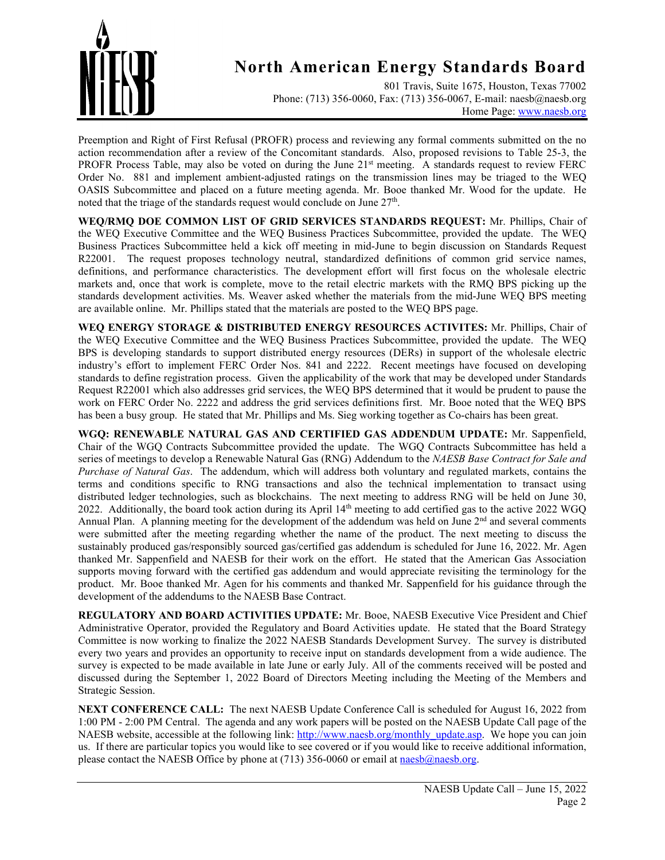

801 Travis, Suite 1675, Houston, Texas 77002 Phone: (713) 356-0060, Fax: (713) 356-0067, E-mail: naesb@naesb.org Home Page: [www.naesb.org](http://www.naesb.org/)

Preemption and Right of First Refusal (PROFR) process and reviewing any formal comments submitted on the no action recommendation after a review of the Concomitant standards. Also, proposed revisions to Table 25-3, the PROFR Process Table, may also be voted on during the June 21st meeting. A standards request to review FERC Order No. 881 and implement ambient-adjusted ratings on the transmission lines may be triaged to the WEQ OASIS Subcommittee and placed on a future meeting agenda. Mr. Booe thanked Mr. Wood for the update. He noted that the triage of the standards request would conclude on June 27<sup>th</sup>.

**WEQ/RMQ DOE COMMON LIST OF GRID SERVICES STANDARDS REQUEST:** Mr. Phillips, Chair of the WEQ Executive Committee and the WEQ Business Practices Subcommittee, provided the update. The WEQ Business Practices Subcommittee held a kick off meeting in mid-June to begin discussion on Standards Request R22001. The request proposes technology neutral, standardized definitions of common grid service names, definitions, and performance characteristics. The development effort will first focus on the wholesale electric markets and, once that work is complete, move to the retail electric markets with the RMQ BPS picking up the standards development activities. Ms. Weaver asked whether the materials from the mid-June WEQ BPS meeting are available online. Mr. Phillips stated that the materials are posted to the WEQ BPS page.

**WEQ ENERGY STORAGE & DISTRIBUTED ENERGY RESOURCES ACTIVITES:** Mr. Phillips, Chair of the WEQ Executive Committee and the WEQ Business Practices Subcommittee, provided the update. The WEQ BPS is developing standards to support distributed energy resources (DERs) in support of the wholesale electric industry's effort to implement FERC Order Nos. 841 and 2222. Recent meetings have focused on developing standards to define registration process. Given the applicability of the work that may be developed under Standards Request R22001 which also addresses grid services, the WEQ BPS determined that it would be prudent to pause the work on FERC Order No. 2222 and address the grid services definitions first. Mr. Booe noted that the WEQ BPS has been a busy group. He stated that Mr. Phillips and Ms. Sieg working together as Co-chairs has been great.

**WGQ: RENEWABLE NATURAL GAS AND CERTIFIED GAS ADDENDUM UPDATE:** Mr. Sappenfield, Chair of the WGQ Contracts Subcommittee provided the update. The WGQ Contracts Subcommittee has held a series of meetings to develop a Renewable Natural Gas (RNG) Addendum to the *NAESB Base Contract for Sale and Purchase of Natural Gas*. The addendum, which will address both voluntary and regulated markets, contains the terms and conditions specific to RNG transactions and also the technical implementation to transact using distributed ledger technologies, such as blockchains. The next meeting to address RNG will be held on June 30, 2022. Additionally, the board took action during its April 14th meeting to add certified gas to the active 2022 WGQ Annual Plan. A planning meeting for the development of the addendum was held on June  $2<sup>nd</sup>$  and several comments were submitted after the meeting regarding whether the name of the product. The next meeting to discuss the sustainably produced gas/responsibly sourced gas/certified gas addendum is scheduled for June 16, 2022. Mr. Agen thanked Mr. Sappenfield and NAESB for their work on the effort. He stated that the American Gas Association supports moving forward with the certified gas addendum and would appreciate revisiting the terminology for the product. Mr. Booe thanked Mr. Agen for his comments and thanked Mr. Sappenfield for his guidance through the development of the addendums to the NAESB Base Contract.

**REGULATORY AND BOARD ACTIVITIES UPDATE:** Mr. Booe, NAESB Executive Vice President and Chief Administrative Operator, provided the Regulatory and Board Activities update. He stated that the Board Strategy Committee is now working to finalize the 2022 NAESB Standards Development Survey. The survey is distributed every two years and provides an opportunity to receive input on standards development from a wide audience. The survey is expected to be made available in late June or early July. All of the comments received will be posted and discussed during the September 1, 2022 Board of Directors Meeting including the Meeting of the Members and Strategic Session.

**NEXT CONFERENCE CALL:** The next NAESB Update Conference Call is scheduled for August 16, 2022 from 1:00 PM - 2:00 PM Central. The agenda and any work papers will be posted on the NAESB Update Call page of the NAESB website, accessible at the following link[: http://www.naesb.org/monthly\\_update.asp.](http://www.naesb.org/monthly_update.asp) We hope you can join us. If there are particular topics you would like to see covered or if you would like to receive additional information, please contact the NAESB Office by phone at (713) 356-0060 or email at naesb $\omega$ naesb.org.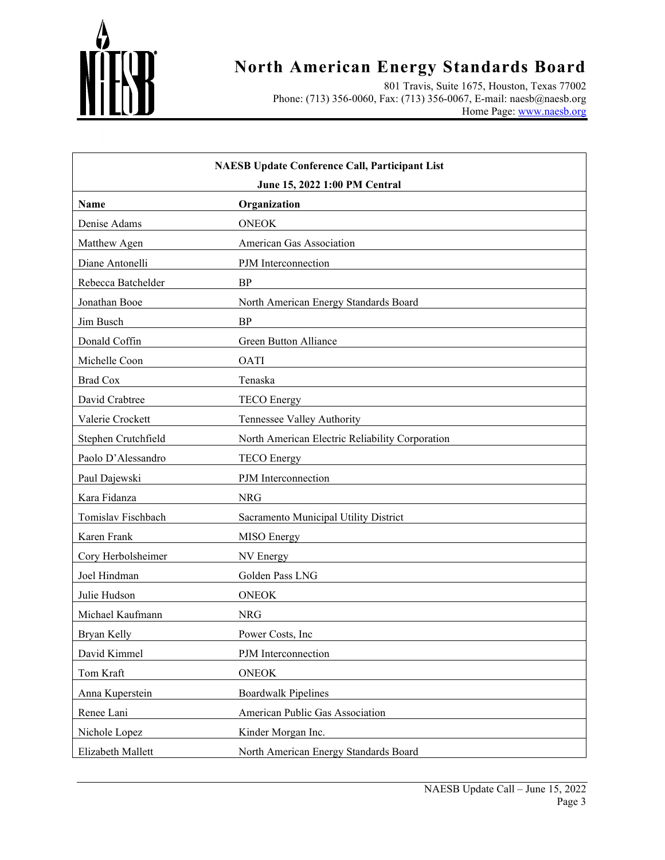

801 Travis, Suite 1675, Houston, Texas 77002 Phone: (713) 356-0060, Fax: (713) 356-0067, E-mail: naesb@naesb.org Home Page: [www.naesb.org](http://www.naesb.org/)

| <b>NAESB Update Conference Call, Participant List</b> |                                                 |  |
|-------------------------------------------------------|-------------------------------------------------|--|
| June 15, 2022 1:00 PM Central<br>Organization<br>Name |                                                 |  |
| Denise Adams                                          | <b>ONEOK</b>                                    |  |
| Matthew Agen                                          | American Gas Association                        |  |
| Diane Antonelli                                       | PJM Interconnection                             |  |
| Rebecca Batchelder                                    | <b>BP</b>                                       |  |
| Jonathan Booe                                         | North American Energy Standards Board           |  |
| Jim Busch                                             | <b>BP</b>                                       |  |
| Donald Coffin                                         | Green Button Alliance                           |  |
| Michelle Coon                                         | <b>OATI</b>                                     |  |
| <b>Brad Cox</b>                                       | Tenaska                                         |  |
| David Crabtree                                        | <b>TECO</b> Energy                              |  |
| Valerie Crockett                                      | Tennessee Valley Authority                      |  |
| Stephen Crutchfield                                   | North American Electric Reliability Corporation |  |
| Paolo D'Alessandro                                    | <b>TECO</b> Energy                              |  |
| Paul Dajewski                                         | PJM Interconnection                             |  |
| Kara Fidanza                                          | <b>NRG</b>                                      |  |
| Tomislav Fischbach                                    | Sacramento Municipal Utility District           |  |
| Karen Frank                                           | <b>MISO</b> Energy                              |  |
| Cory Herbolsheimer                                    | NV Energy                                       |  |
| Joel Hindman                                          | Golden Pass LNG                                 |  |
| Julie Hudson                                          | <b>ONEOK</b>                                    |  |
| Michael Kaufmann                                      | <b>NRG</b>                                      |  |
| Bryan Kelly                                           | Power Costs, Inc.                               |  |
| David Kimmel                                          | PJM Interconnection                             |  |
| Tom Kraft                                             | <b>ONEOK</b>                                    |  |
| Anna Kuperstein                                       | <b>Boardwalk Pipelines</b>                      |  |
| Renee Lani                                            | American Public Gas Association                 |  |
| Nichole Lopez                                         | Kinder Morgan Inc.                              |  |
| Elizabeth Mallett                                     | North American Energy Standards Board           |  |